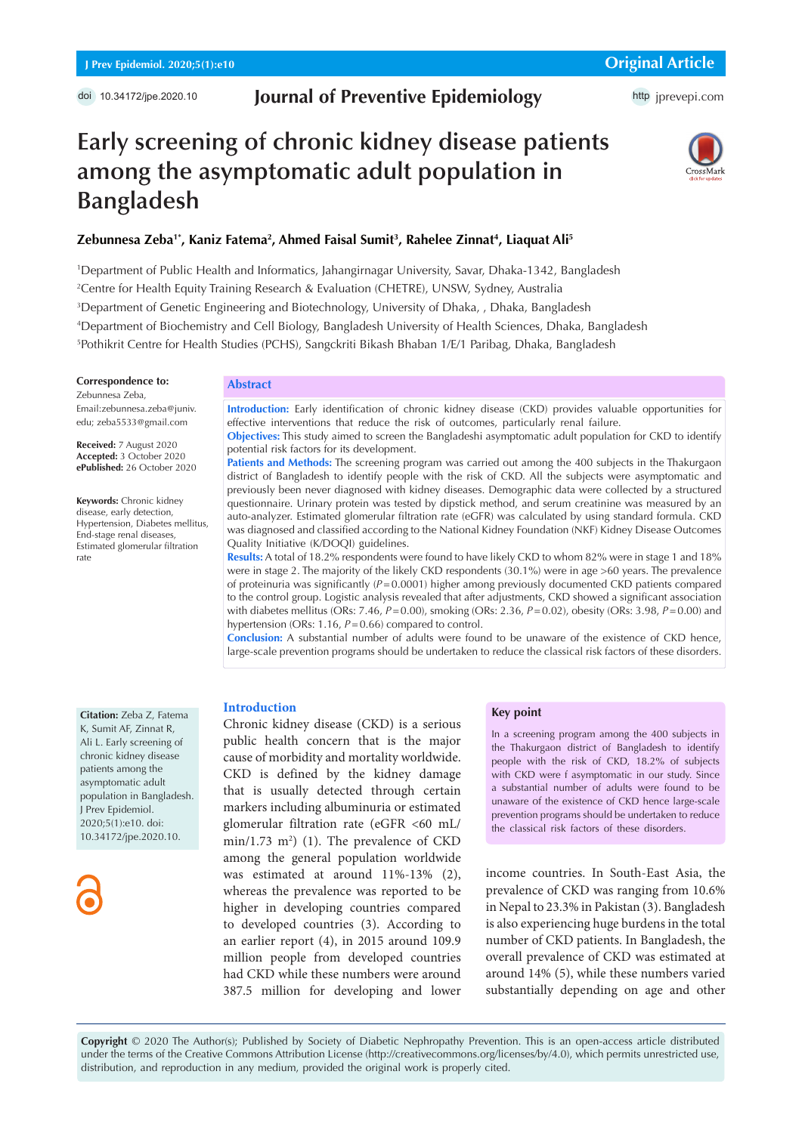## **Journal of Preventive Epidemiology**

# **Early screening of chronic kidney disease patients among the asymptomatic adult population in Bangladesh**



## Zebunnesa Zeba'\*, Kaniz Fatema<sup>2</sup>, Ahmed Faisal Sumit<sup>3</sup>, Rahelee Zinnat<sup>4</sup>, Liaquat Ali<sup>5</sup>

 Department of Public Health and Informatics, Jahangirnagar University, Savar, Dhaka-1342, Bangladesh Centre for Health Equity Training Research & Evaluation (CHETRE), UNSW, Sydney, Australia Department of Genetic Engineering and Biotechnology, University of Dhaka, , Dhaka, Bangladesh Department of Biochemistry and Cell Biology, Bangladesh University of Health Sciences, Dhaka, Bangladesh Pothikrit Centre for Health Studies (PCHS), Sangckriti Bikash Bhaban 1/E/1 Paribag, Dhaka, Bangladesh

**Correspondence to:** Zebunnesa Zeba,

Email:zebunnesa.zeba@juniv. edu; zeba5533@gmail.com

**Received:** 7 August 2020 **Accepted:** 3 October 2020 **ePublished:** 26 October 2020

**Keywords:** Chronic kidney disease, early detection, Hypertension, Diabetes mellitus, End-stage renal diseases, Estimated glomerular filtration rate

#### **Abstract**

**Introduction:** Early identification of chronic kidney disease (CKD) provides valuable opportunities for effective interventions that reduce the risk of outcomes, particularly renal failure.

**Objectives:** This study aimed to screen the Bangladeshi asymptomatic adult population for CKD to identify potential risk factors for its development.

**Patients and Methods:** The screening program was carried out among the 400 subjects in the Thakurgaon district of Bangladesh to identify people with the risk of CKD. All the subjects were asymptomatic and previously been never diagnosed with kidney diseases. Demographic data were collected by a structured questionnaire. Urinary protein was tested by dipstick method, and serum creatinine was measured by an auto-analyzer. Estimated glomerular filtration rate (eGFR) was calculated by using standard formula. CKD was diagnosed and classified according to the National Kidney Foundation (NKF) Kidney Disease Outcomes Quality Initiative (K/DOQI) guidelines.

**Results:** A total of 18.2% respondents were found to have likely CKD to whom 82% were in stage 1 and 18% were in stage 2. The majority of the likely CKD respondents (30.1%) were in age >60 years. The prevalence of proteinuria was significantly (*P*=0.0001) higher among previously documented CKD patients compared to the control group. Logistic analysis revealed that after adjustments, CKD showed a significant association with diabetes mellitus (ORs: 7.46, *P*=0.00), smoking (ORs: 2.36, *P*=0.02), obesity (ORs: 3.98, *P*=0.00) and hypertension (ORs: 1.16, *P*=0.66) compared to control.

**Conclusion:** A substantial number of adults were found to be unaware of the existence of CKD hence, large-scale prevention programs should be undertaken to reduce the classical risk factors of these disorders.

**Citation:** Zeba Z, Fatema K, Sumit AF, Zinnat R, Ali L. Early screening of chronic kidney disease patients among the asymptomatic adult population in Bangladesh. J Prev Epidemiol. 2020;5(1):e10. doi: 10.34172/jpe.2020.10.

#### **Introduction**

Chronic kidney disease (CKD) is a serious public health concern that is the major cause of morbidity and mortality worldwide. CKD is defined by the kidney damage that is usually detected through certain markers including albuminuria or estimated glomerular filtration rate (eGFR <60 mL/  $min/1.73$   $m<sup>2</sup>$ ) (1). The prevalence of CKD among the general population worldwide was estimated at around 11%-13% (2), whereas the prevalence was reported to be higher in developing countries compared to developed countries (3). According to an earlier report (4), in 2015 around 109.9 million people from developed countries had CKD while these numbers were around 387.5 million for developing and lower

## **Key point**

In a screening program among the 400 subjects in the Thakurgaon district of Bangladesh to identify people with the risk of CKD, 18.2% of subjects with CKD were f asymptomatic in our study. Since a substantial number of adults were found to be unaware of the existence of CKD hence large-scale prevention programs should be undertaken to reduce the classical risk factors of these disorders.

income countries. In South-East Asia, the prevalence of CKD was ranging from 10.6% in Nepal to 23.3% in Pakistan (3). Bangladesh is also experiencing huge burdens in the total number of CKD patients. In Bangladesh, the overall prevalence of CKD was estimated at around 14% (5), while these numbers varied substantially depending on age and other

**Copyright** © 2020 The Author(s); Published by Society of Diabetic Nephropathy Prevention. This is an open-access article distributed under the terms of the Creative Commons Attribution License (http://creativecommons.org/licenses/by/4.0), which permits unrestricted use, distribution, and reproduction in any medium, provided the original work is properly cited.

http [jprevepi.com](http://jprevepi.com)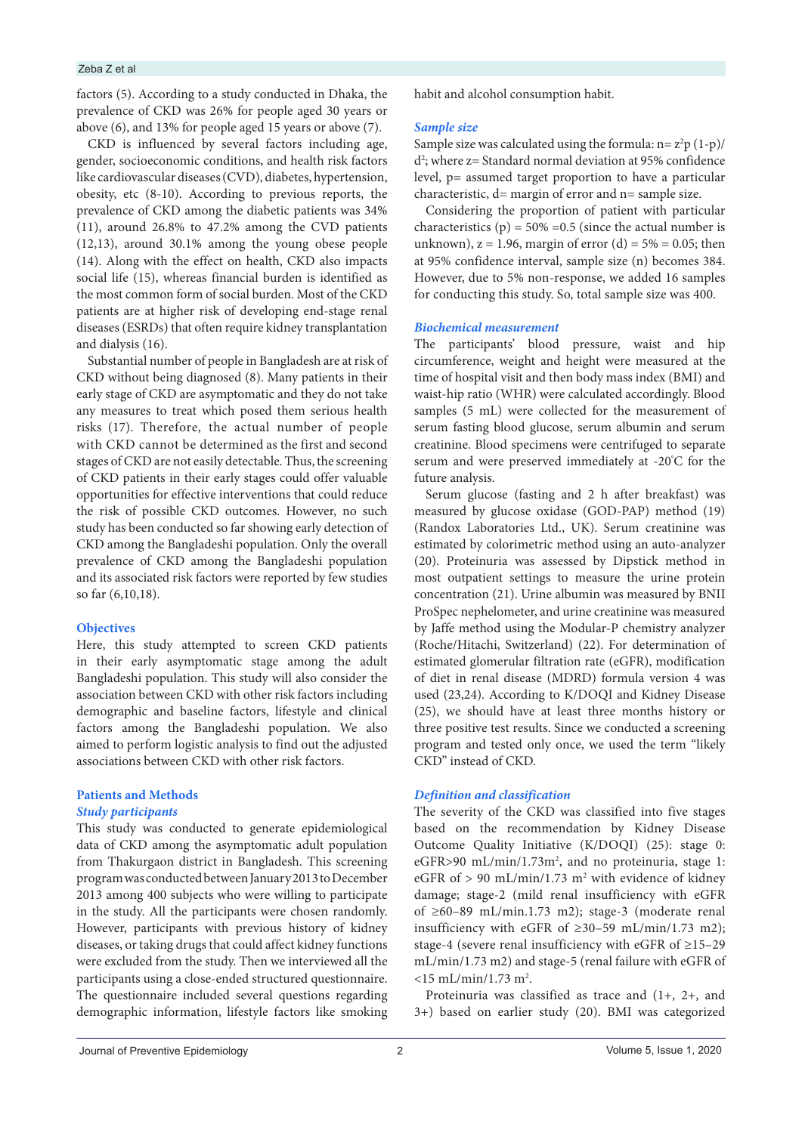#### Zeba Z et al

factors (5). According to a study conducted in Dhaka, the prevalence of CKD was 26% for people aged 30 years or above (6), and 13% for people aged 15 years or above (7).

CKD is influenced by several factors including age, gender, socioeconomic conditions, and health risk factors like cardiovascular diseases (CVD), diabetes, hypertension, obesity, etc (8-10). According to previous reports, the prevalence of CKD among the diabetic patients was 34% (11), around 26.8% to 47.2% among the CVD patients (12,13), around 30.1% among the young obese people (14). Along with the effect on health, CKD also impacts social life (15), whereas financial burden is identified as the most common form of social burden. Most of the CKD patients are at higher risk of developing end-stage renal diseases (ESRDs) that often require kidney transplantation and dialysis (16).

Substantial number of people in Bangladesh are at risk of CKD without being diagnosed (8). Many patients in their early stage of CKD are asymptomatic and they do not take any measures to treat which posed them serious health risks (17). Therefore, the actual number of people with CKD cannot be determined as the first and second stages of CKD are not easily detectable. Thus, the screening of CKD patients in their early stages could offer valuable opportunities for effective interventions that could reduce the risk of possible CKD outcomes. However, no such study has been conducted so far showing early detection of CKD among the Bangladeshi population. Only the overall prevalence of CKD among the Bangladeshi population and its associated risk factors were reported by few studies so far (6,10,18).

#### **Objectives**

Here, this study attempted to screen CKD patients in their early asymptomatic stage among the adult Bangladeshi population. This study will also consider the association between CKD with other risk factors including demographic and baseline factors, lifestyle and clinical factors among the Bangladeshi population. We also aimed to perform logistic analysis to find out the adjusted associations between CKD with other risk factors.

## **Patients and Methods**

## *Study participants*

This study was conducted to generate epidemiological data of CKD among the asymptomatic adult population from Thakurgaon district in Bangladesh. This screening program was conducted between January 2013 to December 2013 among 400 subjects who were willing to participate in the study. All the participants were chosen randomly. However, participants with previous history of kidney diseases, or taking drugs that could affect kidney functions were excluded from the study. Then we interviewed all the participants using a close-ended structured questionnaire. The questionnaire included several questions regarding demographic information, lifestyle factors like smoking

habit and alcohol consumption habit.

## *Sample size*

Sample size was calculated using the formula:  $n = z^2 p (1-p)$ /  $d^2$ ; where  $z =$  Standard normal deviation at 95% confidence level, p= assumed target proportion to have a particular characteristic, d= margin of error and n= sample size.

Considering the proportion of patient with particular characteristics (p) =  $50\%$  = 0.5 (since the actual number is unknown),  $z = 1.96$ , margin of error (d) =  $5\% = 0.05$ ; then at 95% confidence interval, sample size (n) becomes 384. However, due to 5% non-response, we added 16 samples for conducting this study. So, total sample size was 400.

## *Biochemical measurement*

The participants' blood pressure, waist and hip circumference, weight and height were measured at the time of hospital visit and then body mass index (BMI) and waist-hip ratio (WHR) were calculated accordingly. Blood samples (5 mL) were collected for the measurement of serum fasting blood glucose, serum albumin and serum creatinine. Blood specimens were centrifuged to separate serum and were preserved immediately at -20° C for the future analysis.

Serum glucose (fasting and 2 h after breakfast) was measured by glucose oxidase (GOD-PAP) method (19) (Randox Laboratories Ltd., UK). Serum creatinine was estimated by colorimetric method using an auto-analyzer (20). Proteinuria was assessed by Dipstick method in most outpatient settings to measure the urine protein concentration (21). Urine albumin was measured by BNII ProSpec nephelometer, and urine creatinine was measured by Jaffe method using the Modular-P chemistry analyzer (Roche/Hitachi, Switzerland) (22). For determination of estimated glomerular filtration rate (eGFR), modification of diet in renal disease (MDRD) formula version 4 was used (23,24). According to K/DOQI and Kidney Disease (25), we should have at least three months history or three positive test results. Since we conducted a screening program and tested only once, we used the term "likely CKD" instead of CKD.

## *Definition and classification*

The severity of the CKD was classified into five stages based on the recommendation by Kidney Disease Outcome Quality Initiative (K/DOQI) (25): stage 0: eGFR>90 mL/min/1.73m<sup>2</sup>, and no proteinuria, stage 1: eGFR of  $> 90$  mL/min/1.73 m<sup>2</sup> with evidence of kidney damage; stage-2 (mild renal insufficiency with eGFR of ≥60–89 mL/min.1.73 m2); stage-3 (moderate renal insufficiency with eGFR of  $\geq 30-59$  mL/min/1.73 m2); stage-4 (severe renal insufficiency with eGFR of ≥15–29 mL/min/1.73 m2) and stage-5 (renal failure with eGFR of  $<$ 15 mL/min/1.73 m<sup>2</sup>.

Proteinuria was classified as trace and (1+, 2+, and 3+) based on earlier study (20). BMI was categorized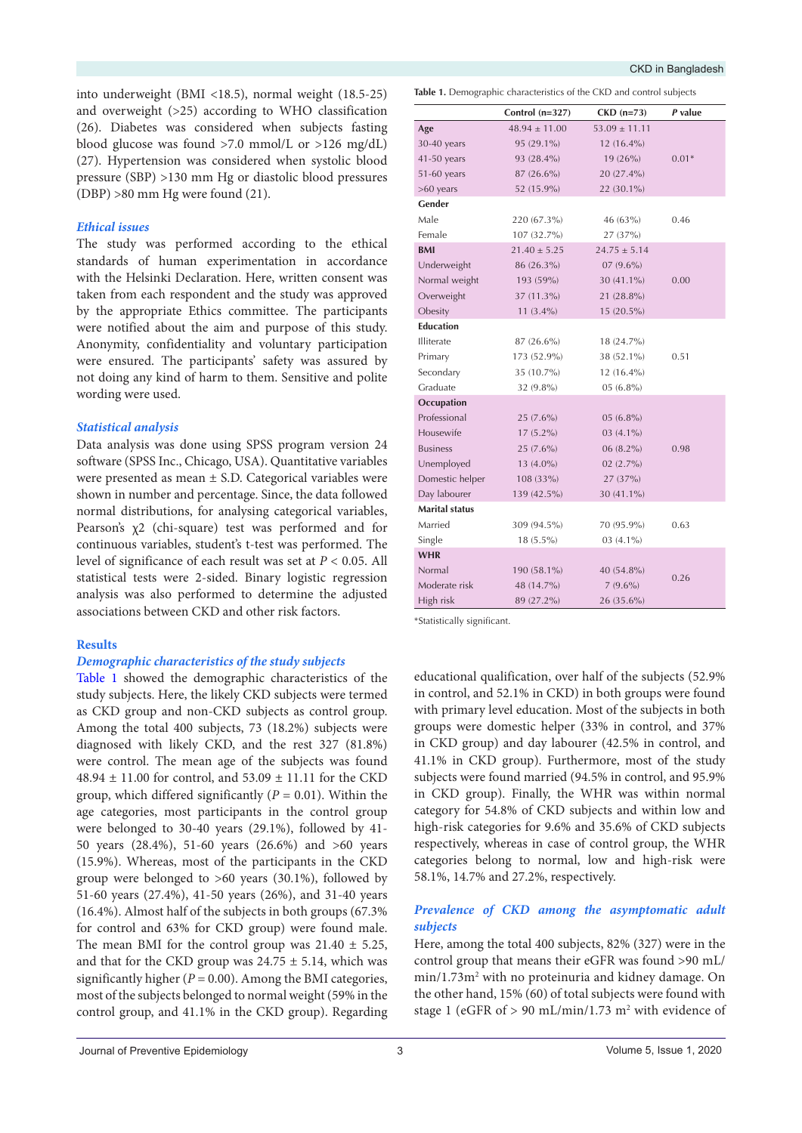into underweight (BMI <18.5), normal weight (18.5-25) and overweight (>25) according to WHO classification (26). Diabetes was considered when subjects fasting blood glucose was found >7.0 mmol/L or >126 mg/dL) (27). Hypertension was considered when systolic blood pressure (SBP) >130 mm Hg or diastolic blood pressures (DBP) >80 mm Hg were found (21).

## *Ethical issues*

The study was performed according to the ethical standards of human experimentation in accordance with the Helsinki Declaration. Here, written consent was taken from each respondent and the study was approved by the appropriate Ethics committee. The participants were notified about the aim and purpose of this study. Anonymity, confidentiality and voluntary participation were ensured. The participants' safety was assured by not doing any kind of harm to them. Sensitive and polite wording were used.

## *Statistical analysis*

Data analysis was done using SPSS program version 24 software (SPSS Inc., Chicago, USA). Quantitative variables were presented as mean ± S.D. Categorical variables were shown in number and percentage. Since, the data followed normal distributions, for analysing categorical variables, Pearson's χ2 (chi-square) test was performed and for continuous variables, student's t-test was performed. The level of significance of each result was set at *P* < 0.05. All statistical tests were 2-sided. Binary logistic regression analysis was also performed to determine the adjusted associations between CKD and other risk factors.

## **Results**

#### *Demographic characteristics of the study subjects*

[Table 1](#page-2-0) showed the demographic characteristics of the study subjects. Here, the likely CKD subjects were termed as CKD group and non-CKD subjects as control group. Among the total 400 subjects, 73 (18.2%) subjects were diagnosed with likely CKD, and the rest 327 (81.8%) were control. The mean age of the subjects was found  $48.94 \pm 11.00$  for control, and  $53.09 \pm 11.11$  for the CKD group, which differed significantly  $(P = 0.01)$ . Within the age categories, most participants in the control group were belonged to 30-40 years (29.1%), followed by 41- 50 years (28.4%), 51-60 years (26.6%) and >60 years (15.9%). Whereas, most of the participants in the CKD group were belonged to >60 years (30.1%), followed by 51-60 years (27.4%), 41-50 years (26%), and 31-40 years (16.4%). Almost half of the subjects in both groups (67.3% for control and 63% for CKD group) were found male. The mean BMI for the control group was  $21.40 \pm 5.25$ , and that for the CKD group was  $24.75 \pm 5.14$ , which was significantly higher  $(P = 0.00)$ . Among the BMI categories, most of the subjects belonged to normal weight (59% in the control group, and 41.1% in the CKD group). Regarding

<span id="page-2-0"></span>**Table 1.** Demographic characteristics of the CKD and control subjects

|                       | Control $(n=327)$ | $CKD$ (n=73)      | $P$ value |
|-----------------------|-------------------|-------------------|-----------|
| Age                   | $48.94 \pm 11.00$ | $53.09 \pm 11.11$ |           |
| 30-40 years           | 95 (29.1%)        | 12 (16.4%)        |           |
| 41-50 years           | 93 (28.4%)        | 19 (26%)          | $0.01*$   |
| 51-60 years           | 87 (26.6%)        | 20 (27.4%)        |           |
| $>60$ years           | 52 (15.9%)        | 22 (30.1%)        |           |
| Gender                |                   |                   |           |
| Male                  | 220 (67.3%)       | 46 (63%)          | 0.46      |
| Female                | 107 (32.7%)       | 27 (37%)          |           |
| <b>BMI</b>            | $21.40 \pm 5.25$  | $24.75 \pm 5.14$  |           |
| Underweight           | 86 (26.3%)        | $07(9.6\%)$       |           |
| Normal weight         | 193 (59%)         | 30 (41.1%)        | 0.00      |
| Overweight            | 37 (11.3%)        | 21 (28.8%)        |           |
| Obesity               | $11(3.4\%)$       | $15(20.5\%)$      |           |
| <b>Education</b>      |                   |                   |           |
| Illiterate            | 87 (26.6%)        | 18 (24.7%)        |           |
| Primary               | 173 (52.9%)       | 38 (52.1%)        | 0.51      |
| Secondary             | 35 (10.7%)        | $12(16.4\%)$      |           |
| Graduate              | 32 (9.8%)         | $05(6.8\%)$       |           |
| Occupation            |                   |                   |           |
| Professional          | $25(7.6\%)$       | $05(6.8\%)$       |           |
| Housewife             | $17(5.2\%)$       | $03(4.1\%)$       |           |
| <b>Business</b>       | $25(7.6\%)$       | 06 (8.2%)         | 0.98      |
| Unemployed            | 13 (4.0%)         | $02(2.7\%)$       |           |
| Domestic helper       | 108 (33%)         | 27 (37%)          |           |
| Day labourer          | 139 (42.5%)       | $30(41.1\%)$      |           |
| <b>Marital status</b> |                   |                   |           |
| Married               | 309 (94.5%)       | 70 (95.9%)        | 0.63      |
| Single                | $18(5.5\%)$       | 03 (4.1%)         |           |
| <b>WHR</b>            |                   |                   |           |
| Normal                | 190 (58.1%)       | 40 (54.8%)        | 0.26      |
| Moderate risk         | 48 (14.7%)        | $7(9.6\%)$        |           |
| High risk             | 89 (27.2%)        | $26(35.6\%)$      |           |

\*Statistically significant.

educational qualification, over half of the subjects (52.9% in control, and 52.1% in CKD) in both groups were found with primary level education. Most of the subjects in both groups were domestic helper (33% in control, and 37% in CKD group) and day labourer (42.5% in control, and 41.1% in CKD group). Furthermore, most of the study subjects were found married (94.5% in control, and 95.9% in CKD group). Finally, the WHR was within normal category for 54.8% of CKD subjects and within low and high-risk categories for 9.6% and 35.6% of CKD subjects respectively, whereas in case of control group, the WHR categories belong to normal, low and high-risk were 58.1%, 14.7% and 27.2%, respectively.

## *Prevalence of CKD among the asymptomatic adult subjects*

Here, among the total 400 subjects, 82% (327) were in the control group that means their eGFR was found >90 mL/ min/1.73m<sup>2</sup> with no proteinuria and kidney damage. On the other hand, 15% (60) of total subjects were found with stage 1 (eGFR of  $> 90$  mL/min/1.73 m<sup>2</sup> with evidence of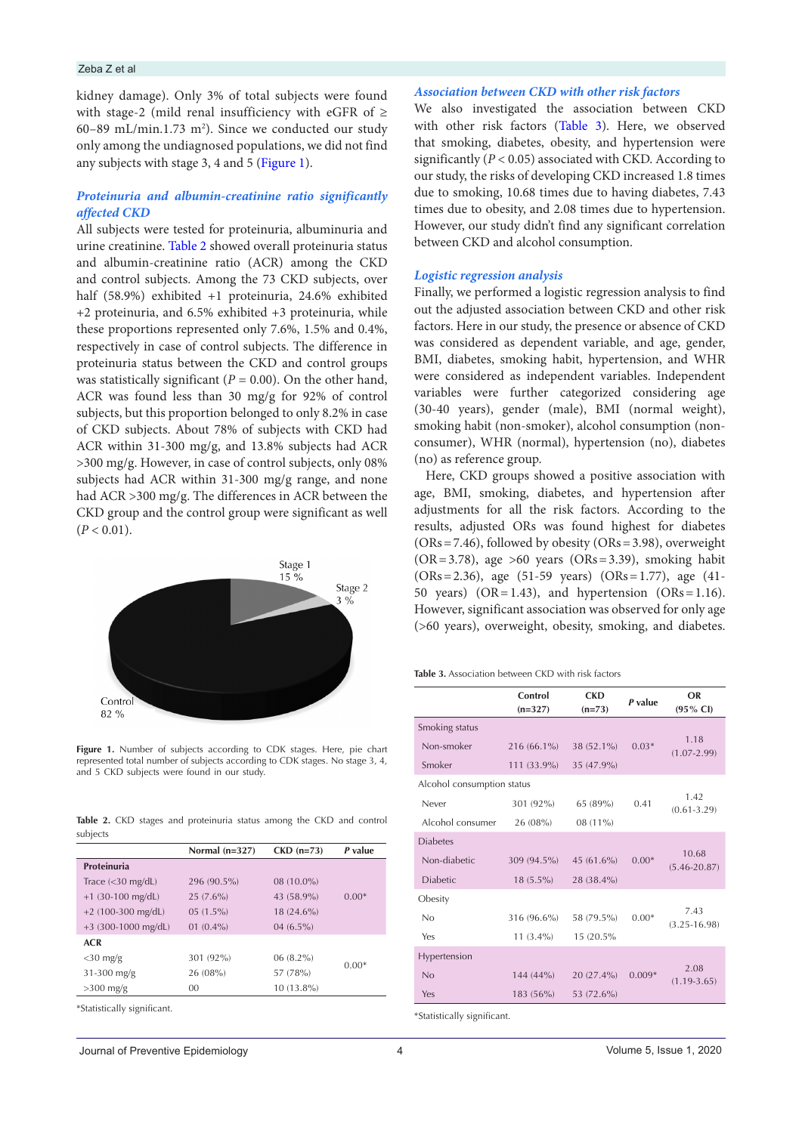## Zeba Z et al

kidney damage). Only 3% of total subjects were found with stage-2 (mild renal insufficiency with eGFR of  $\geq$  $60-89$  mL/min.1.73 m<sup>2</sup>). Since we conducted our study only among the undiagnosed populations, we did not find any subjects with stage 3, 4 and 5 ([Figure 1\)](#page-3-0).

## *Proteinuria and albumin-creatinine ratio significantly affected CKD*

All subjects were tested for proteinuria, albuminuria and urine creatinine. [Table 2](#page-3-1) showed overall proteinuria status and albumin-creatinine ratio (ACR) among the CKD and control subjects. Among the 73 CKD subjects, over half (58.9%) exhibited +1 proteinuria, 24.6% exhibited +2 proteinuria, and 6.5% exhibited +3 proteinuria, while these proportions represented only 7.6%, 1.5% and 0.4%, respectively in case of control subjects. The difference in proteinuria status between the CKD and control groups was statistically significant  $(P = 0.00)$ . On the other hand, ACR was found less than 30 mg/g for 92% of control subjects, but this proportion belonged to only 8.2% in case of CKD subjects. About 78% of subjects with CKD had ACR within 31-300 mg/g, and 13.8% subjects had ACR >300 mg/g. However, in case of control subjects, only 08% subjects had ACR within 31-300 mg/g range, and none had ACR >300 mg/g. The differences in ACR between the CKD group and the control group were significant as well  $(P < 0.01)$ .

<span id="page-3-0"></span>

Figure 1. Number of subjects according to CDK stages. Here, pie chart represented total number of subjects according to CDK stages. No stage 3, 4, and 5 CKD subjects were found in our study.

<span id="page-3-1"></span>

|          |  |  | <b>Table 2.</b> CKD stages and proteinuria status among the CKD and control |  |  |  |
|----------|--|--|-----------------------------------------------------------------------------|--|--|--|
| subjects |  |  |                                                                             |  |  |  |

|                       | Normal $(n=327)$ | $CKD$ (n=73) | P value |  |
|-----------------------|------------------|--------------|---------|--|
| Proteinuria           |                  |              |         |  |
| Trace $(<30$ mg/dL)   | 296 (90.5%)      | 08 (10.0%)   |         |  |
| $+1$ (30-100 mg/dL)   | $25(7.6\%)$      | 43 (58.9%)   | $0.00*$ |  |
| $+2$ (100-300 mg/dL)  | $05(1.5\%)$      | 18 (24.6%)   |         |  |
| $+3$ (300-1000 mg/dL) | $01(0.4\%)$      | $04(6.5\%)$  |         |  |
| <b>ACR</b>            |                  |              |         |  |
| $<$ 30 mg/g           | 301 (92%)        | $06(8.2\%)$  | $0.00*$ |  |
| $31-300$ mg/g         | 26 (08%)         | 57 (78%)     |         |  |
| $>300$ mg/g           | 00               | 10 (13.8%)   |         |  |
|                       |                  |              |         |  |

\*Statistically significant.

## *Association between CKD with other risk factors*

We also investigated the association between CKD with other risk factors ([Table 3\)](#page-3-2). Here, we observed that smoking, diabetes, obesity, and hypertension were significantly (*P* < 0.05) associated with CKD. According to our study, the risks of developing CKD increased 1.8 times due to smoking, 10.68 times due to having diabetes, 7.43 times due to obesity, and 2.08 times due to hypertension. However, our study didn't find any significant correlation between CKD and alcohol consumption.

## *Logistic regression analysis*

Finally, we performed a logistic regression analysis to find out the adjusted association between CKD and other risk factors. Here in our study, the presence or absence of CKD was considered as dependent variable, and age, gender, BMI, diabetes, smoking habit, hypertension, and WHR were considered as independent variables. Independent variables were further categorized considering age (30-40 years), gender (male), BMI (normal weight), smoking habit (non-smoker), alcohol consumption (nonconsumer), WHR (normal), hypertension (no), diabetes (no) as reference group.

Here, CKD groups showed a positive association with age, BMI, smoking, diabetes, and hypertension after adjustments for all the risk factors. According to the results, adjusted ORs was found highest for diabetes  $(ORs = 7.46)$ , followed by obesity  $(ORs = 3.98)$ , overweight  $(OR = 3.78)$ , age >60 years  $(OR = 3.39)$ , smoking habit (ORs=2.36), age (51-59 years) (ORs=1.77), age (41- 50 years) ( $OR = 1.43$ ), and hypertension ( $OR = 1.16$ ). However, significant association was observed for only age (>60 years), overweight, obesity, smoking, and diabetes.

<span id="page-3-2"></span>**Table 3.** Association between CKD with risk factors

|                            | Control<br>$(n=327)$ | <b>CKD</b><br>$(n=73)$ | P value  | OR<br>$(95\% \text{ Cl})$ |  |  |  |
|----------------------------|----------------------|------------------------|----------|---------------------------|--|--|--|
| Smoking status             |                      |                        |          |                           |  |  |  |
| Non-smoker                 | 216 (66.1%)          | 38 (52.1%)             | $0.03*$  | 1.18<br>$(1.07 - 2.99)$   |  |  |  |
| Smoker                     | 111 (33.9%)          | 35 (47.9%)             |          |                           |  |  |  |
| Alcohol consumption status |                      |                        |          |                           |  |  |  |
| Never                      | 301 (92%)            | 65 (89%)               | 0.41     | 1.42<br>$(0.61 - 3.29)$   |  |  |  |
| Alcohol consumer           | 26 (08%)             | 08 (11%)               |          |                           |  |  |  |
| <b>Diabetes</b>            |                      |                        |          |                           |  |  |  |
| Non-diabetic               | 309 (94.5%)          | 45 $(61.6\%)$          | $0.00*$  | 10.68<br>$(5.46 - 20.87)$ |  |  |  |
| <b>Diabetic</b>            | $18(5.5\%)$          | 28 (38.4%)             |          |                           |  |  |  |
| Obesity                    |                      |                        |          |                           |  |  |  |
| No                         | 316 (96.6%)          | 58 (79.5%)             | $0.00*$  | 7.43<br>$(3.25 - 16.98)$  |  |  |  |
| Yes                        | $11(3.4\%)$          | 15 (20.5%)             |          |                           |  |  |  |
| Hypertension               |                      |                        |          |                           |  |  |  |
| No                         | $144(44\%)$          | 20 (27.4%)             | $0.009*$ | 2.08<br>$(1.19-3.65)$     |  |  |  |
| Yes                        | $183(56\%)$          | 53 (72.6%)             |          |                           |  |  |  |
|                            |                      |                        |          |                           |  |  |  |

\*Statistically significant.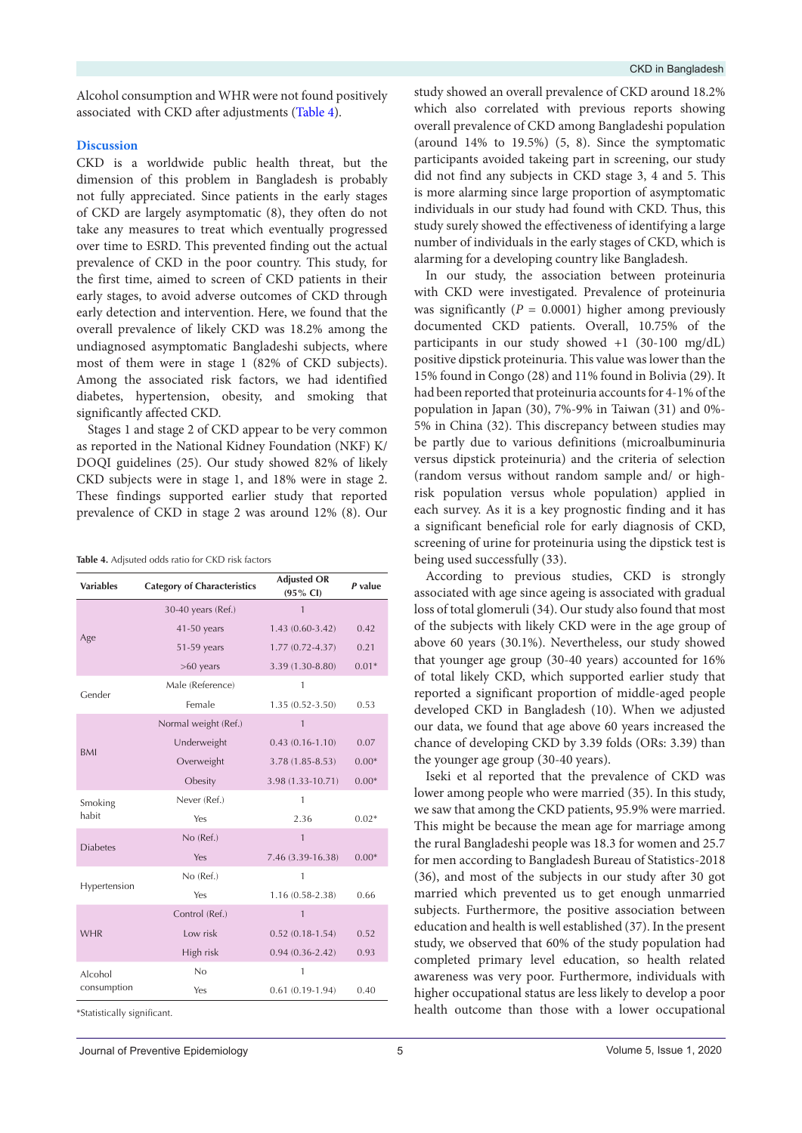Alcohol consumption and WHR were not found positively associated with CKD after adjustments ([Table 4](#page-4-0)).

## **Discussion**

CKD is a worldwide public health threat, but the dimension of this problem in Bangladesh is probably not fully appreciated. Since patients in the early stages of CKD are largely asymptomatic (8), they often do not take any measures to treat which eventually progressed over time to ESRD. This prevented finding out the actual prevalence of CKD in the poor country. This study, for the first time, aimed to screen of CKD patients in their early stages, to avoid adverse outcomes of CKD through early detection and intervention. Here, we found that the overall prevalence of likely CKD was 18.2% among the undiagnosed asymptomatic Bangladeshi subjects, where most of them were in stage 1 (82% of CKD subjects). Among the associated risk factors, we had identified diabetes, hypertension, obesity, and smoking that significantly affected CKD.

Stages 1 and stage 2 of CKD appear to be very common as reported in the National Kidney Foundation (NKF) K/ DOQI guidelines (25). Our study showed 82% of likely CKD subjects were in stage 1, and 18% were in stage 2. These findings supported earlier study that reported prevalence of CKD in stage 2 was around 12% (8). Our

<span id="page-4-0"></span>**Table 4.** Adjsuted odds ratio for CKD risk factors

| <b>Variables</b> | <b>Category of Characteristics</b> | <b>Adjusted OR</b><br>$(95\% \text{ Cl})$ | P value |
|------------------|------------------------------------|-------------------------------------------|---------|
|                  | 30-40 years (Ref.)                 | $\mathbf{1}$                              |         |
| Age              | 41-50 years                        | $1.43(0.60-3.42)$                         | 0.42    |
|                  | 51-59 years                        | $1.77(0.72 - 4.37)$                       | 0.21    |
|                  | $>60$ years                        | 3.39 (1.30-8.80)                          | $0.01*$ |
| Gender           | Male (Reference)                   | 1                                         |         |
|                  | Female                             | $1.35(0.52 - 3.50)$                       | 0.53    |
|                  | Normal weight (Ref.)               | $\mathbf{1}$                              |         |
| <b>BMI</b>       | Underweight                        | $0.43(0.16 - 1.10)$                       | 0.07    |
|                  | Overweight                         | $3.78(1.85 - 8.53)$                       | $0.00*$ |
|                  | Obesity                            | 3.98 (1.33-10.71)                         | $0.00*$ |
| Smoking          | Never (Ref.)                       | 1                                         |         |
| habit            | Yes                                | 2.36                                      | $0.02*$ |
| <b>Diabetes</b>  | No (Ref.)                          | $\mathbf{1}$                              |         |
|                  | Yes                                | 7.46 (3.39-16.38)                         | $0.00*$ |
| Hypertension     | No (Ref.)                          | 1                                         |         |
|                  | Yes                                | 1.16 (0.58-2.38)                          | 0.66    |
| <b>WHR</b>       | Control (Ref.)                     | $\mathbf{1}$                              |         |
|                  | Low risk                           | $0.52(0.18-1.54)$                         | 0.52    |
|                  | High risk                          | $0.94(0.36-2.42)$                         | 0.93    |
| Alcohol          | No                                 | $\mathbf{1}$                              |         |
| consumption      | Yes                                | $0.61(0.19-1.94)$                         | 0.40    |

\*Statistically significant.

study showed an overall prevalence of CKD around 18.2% which also correlated with previous reports showing overall prevalence of CKD among Bangladeshi population (around 14% to 19.5%) (5, 8). Since the symptomatic participants avoided takeing part in screening, our study did not find any subjects in CKD stage 3, 4 and 5. This is more alarming since large proportion of asymptomatic individuals in our study had found with CKD. Thus, this study surely showed the effectiveness of identifying a large number of individuals in the early stages of CKD, which is alarming for a developing country like Bangladesh.

In our study, the association between proteinuria with CKD were investigated. Prevalence of proteinuria was significantly  $(P = 0.0001)$  higher among previously documented CKD patients. Overall, 10.75% of the participants in our study showed +1 (30-100 mg/dL) positive dipstick proteinuria. This value was lower than the 15% found in Congo (28) and 11% found in Bolivia (29). It had been reported that proteinuria accounts for 4-1% of the population in Japan (30), 7%-9% in Taiwan (31) and 0%- 5% in China (32). This discrepancy between studies may be partly due to various definitions (microalbuminuria versus dipstick proteinuria) and the criteria of selection (random versus without random sample and/ or highrisk population versus whole population) applied in each survey. As it is a key prognostic finding and it has a significant beneficial role for early diagnosis of CKD, screening of urine for proteinuria using the dipstick test is being used successfully (33).

According to previous studies, CKD is strongly associated with age since ageing is associated with gradual loss of total glomeruli (34). Our study also found that most of the subjects with likely CKD were in the age group of above 60 years (30.1%). Nevertheless, our study showed that younger age group (30-40 years) accounted for 16% of total likely CKD, which supported earlier study that reported a significant proportion of middle-aged people developed CKD in Bangladesh (10). When we adjusted our data, we found that age above 60 years increased the chance of developing CKD by 3.39 folds (ORs: 3.39) than the younger age group (30-40 years).

Iseki et al reported that the prevalence of CKD was lower among people who were married (35). In this study, we saw that among the CKD patients, 95.9% were married. This might be because the mean age for marriage among the rural Bangladeshi people was 18.3 for women and 25.7 for men according to Bangladesh Bureau of Statistics-2018 (36), and most of the subjects in our study after 30 got married which prevented us to get enough unmarried subjects. Furthermore, the positive association between education and health is well established (37). In the present study, we observed that 60% of the study population had completed primary level education, so health related awareness was very poor. Furthermore, individuals with higher occupational status are less likely to develop a poor health outcome than those with a lower occupational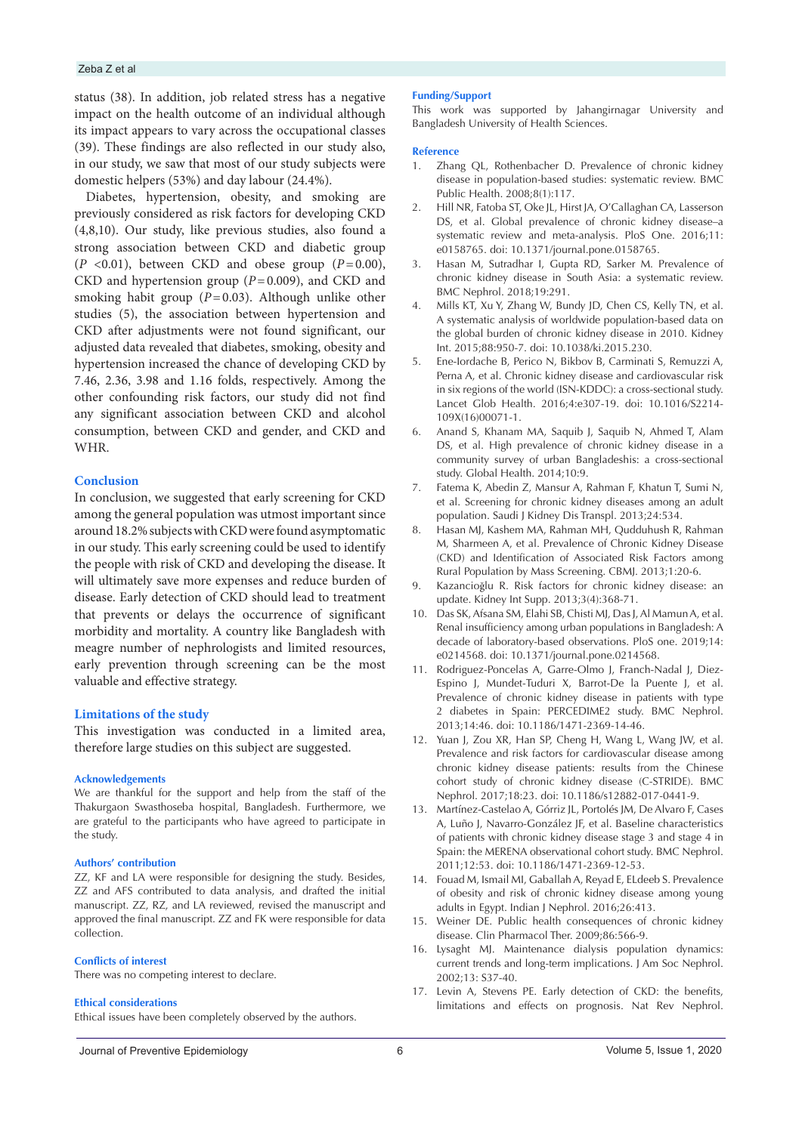## Zeba Z et al

status (38). In addition, job related stress has a negative impact on the health outcome of an individual although its impact appears to vary across the occupational classes (39). These findings are also reflected in our study also, in our study, we saw that most of our study subjects were domestic helpers (53%) and day labour (24.4%).

Diabetes, hypertension, obesity, and smoking are previously considered as risk factors for developing CKD (4,8,10). Our study, like previous studies, also found a strong association between CKD and diabetic group  $(P \le 0.01)$ , between CKD and obese group  $(P=0.00)$ , CKD and hypertension group (*P*=0.009), and CKD and smoking habit group  $(P=0.03)$ . Although unlike other studies (5), the association between hypertension and CKD after adjustments were not found significant, our adjusted data revealed that diabetes, smoking, obesity and hypertension increased the chance of developing CKD by 7.46, 2.36, 3.98 and 1.16 folds, respectively. Among the other confounding risk factors, our study did not find any significant association between CKD and alcohol consumption, between CKD and gender, and CKD and WHR.

## **Conclusion**

In conclusion, we suggested that early screening for CKD among the general population was utmost important since around 18.2% subjects with CKD were found asymptomatic in our study. This early screening could be used to identify the people with risk of CKD and developing the disease. It will ultimately save more expenses and reduce burden of disease. Early detection of CKD should lead to treatment that prevents or delays the occurrence of significant morbidity and mortality. A country like Bangladesh with meagre number of nephrologists and limited resources, early prevention through screening can be the most valuable and effective strategy.

#### **Limitations of the study**

This investigation was conducted in a limited area, therefore large studies on this subject are suggested.

#### **Acknowledgements**

We are thankful for the support and help from the staff of the Thakurgaon Swasthoseba hospital, Bangladesh. Furthermore, we are grateful to the participants who have agreed to participate in the study.

#### **Authors' contribution**

ZZ, KF and LA were responsible for designing the study. Besides, ZZ and AFS contributed to data analysis, and drafted the initial manuscript. ZZ, RZ, and LA reviewed, revised the manuscript and approved the final manuscript. ZZ and FK were responsible for data collection.

#### **Conflicts of interest**

There was no competing interest to declare.

#### **Ethical considerations**

Ethical issues have been completely observed by the authors.

#### **Funding/Support**

This work was supported by Jahangirnagar University and Bangladesh University of Health Sciences.

#### **Reference**

- 1. Zhang QL, Rothenbacher D. Prevalence of chronic kidney disease in population-based studies: systematic review. BMC Public Health. 2008;8(1):117.
- 2. Hill NR, Fatoba ST, Oke JL, Hirst JA, O'Callaghan CA, Lasserson DS, et al. Global prevalence of chronic kidney disease–a systematic review and meta-analysis. PloS One. 2016;11: e0158765. doi: 10.1371/journal.pone.0158765.
- 3. Hasan M, Sutradhar I, Gupta RD, Sarker M. Prevalence of chronic kidney disease in South Asia: a systematic review. BMC Nephrol. 2018;19:291.
- 4. Mills KT, Xu Y, Zhang W, Bundy JD, Chen CS, Kelly TN, et al. A systematic analysis of worldwide population-based data on the global burden of chronic kidney disease in 2010. Kidney Int. 2015;88:950-7. doi: 10.1038/ki.2015.230.
- 5. Ene-Iordache B, Perico N, Bikbov B, Carminati S, Remuzzi A, Perna A, et al. Chronic kidney disease and cardiovascular risk in six regions of the world (ISN-KDDC): a cross-sectional study. Lancet Glob Health. 2016;4:e307-19. doi: 10.1016/S2214- 109X(16)00071-1.
- 6. Anand S, Khanam MA, Saquib J, Saquib N, Ahmed T, Alam DS, et al. High prevalence of chronic kidney disease in a community survey of urban Bangladeshis: a cross-sectional study. Global Health. 2014;10:9.
- 7. Fatema K, Abedin Z, Mansur A, Rahman F, Khatun T, Sumi N, et al. Screening for chronic kidney diseases among an adult population. Saudi J Kidney Dis Transpl. 2013;24:534.
- 8. Hasan MJ, Kashem MA, Rahman MH, Qudduhush R, Rahman M, Sharmeen A, et al. Prevalence of Chronic Kidney Disease (CKD) and Identification of Associated Risk Factors among Rural Population by Mass Screening. CBMJ. 2013;1:20-6.
- 9. Kazancioğlu R. Risk factors for chronic kidney disease: an update. Kidney Int Supp. 2013;3(4):368-71.
- 10. Das SK, Afsana SM, Elahi SB, Chisti MJ, Das J, Al Mamun A, et al. Renal insufficiency among urban populations in Bangladesh: A decade of laboratory-based observations. PloS one. 2019;14: e0214568. doi: 10.1371/journal.pone.0214568.
- 11. Rodriguez-Poncelas A, Garre-Olmo J, Franch-Nadal J, Diez-Espino J, Mundet-Tuduri X, Barrot-De la Puente J, et al. Prevalence of chronic kidney disease in patients with type 2 diabetes in Spain: PERCEDIME2 study. BMC Nephrol. 2013;14:46. doi: 10.1186/1471-2369-14-46.
- 12. Yuan J, Zou XR, Han SP, Cheng H, Wang L, Wang JW, et al. Prevalence and risk factors for cardiovascular disease among chronic kidney disease patients: results from the Chinese cohort study of chronic kidney disease (C-STRIDE). BMC Nephrol. 2017;18:23. doi: 10.1186/s12882-017-0441-9.
- 13. Martínez-Castelao A, Górriz JL, Portolés JM, De Alvaro F, Cases A, Luño J, Navarro-González JF, et al. Baseline characteristics of patients with chronic kidney disease stage 3 and stage 4 in Spain: the MERENA observational cohort study. BMC Nephrol. 2011;12:53. doi: 10.1186/1471-2369-12-53.
- 14. Fouad M, Ismail MI, Gaballah A, Reyad E, ELdeeb S. Prevalence of obesity and risk of chronic kidney disease among young adults in Egypt. Indian J Nephrol. 2016;26:413.
- 15. Weiner DE. Public health consequences of chronic kidney disease. Clin Pharmacol Ther. 2009;86:566-9.
- 16. Lysaght MJ. Maintenance dialysis population dynamics: current trends and long-term implications. J Am Soc Nephrol. 2002;13: S37-40.
- 17. Levin A, Stevens PE. Early detection of CKD: the benefits, limitations and effects on prognosis. Nat Rev Nephrol.